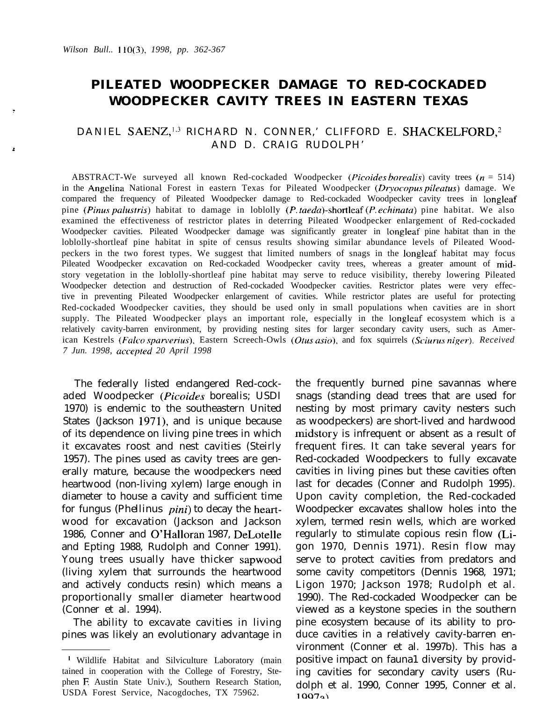# **PILEATED WOODPECKER DAMAGE TO RED-COCKADED WOODPECKER CAVITY TREES IN EASTERN TEXAS**

# DANIEL SAENZ,<sup>1,3</sup> RICHARD N. CONNER,' CLIFFORD E. SHACKELFORD,<sup>2</sup> AND D. CRAIG RUDOLPH'

ABSTRACT-We surveyed all known Red-cockaded Woodpecker *(Picoides borealis)* cavity trees (n = 514) in the Angelina National Forest in eastern Texas for Pileated Woodpecker (Dryocopus pileatus) damage. We compared the frequency of Pileated Woodpecker damage to Red-cockaded Woodpecker cavity trees in longleaf pine (Pinus palustris) habitat to damage in loblolly (P. taeda)-shortleaf (P. *echinata*) pine habitat. We also examined the effectiveness of restrictor plates in deterring Pileated Woodpecker enlargement of Red-cockaded Woodpecker cavities. Pileated Woodpecker damage was significantly greater in longleaf pine habitat than in the loblolly-shortleaf pine habitat in spite of census results showing similar abundance levels of Pileated Woodpeckers in the two forest types. We suggest that limited numbers of snags in the longleaf habitat may focus Pileated Woodpecker excavation on Red-cockaded Woodpecker cavity trees, whereas a greater amount of midstory vegetation in the loblolly-shortleaf pine habitat may serve to reduce visibility, thereby lowering Pileated Woodpecker detection and destruction of Red-cockaded Woodpecker cavities. Restrictor plates were very effective in preventing Pileated Woodpecker enlargement of cavities. While restrictor plates are useful for protecting Red-cockaded Woodpecker cavities, they should be used only in small populations when cavities are in short supply. The Pileated Woodpecker plays an important role, especially in the longleaf ecosystem which is a relatively cavity-barren environment, by providing nesting sites for larger secondary cavity users, such as American Kestrels (Falco sparverius), Eastern Screech-Owls (Otus asio), and fox squirrels (Sciurus niger). Received *7 Jun. 1998, acceplrd 20 April 1998*

The federally listed endangered Red-cockaded Woodpecker (Picoides borealis; USDI 1970) is endemic to the southeastern United States (Jackson 1971), and is unique because of its dependence on living pine trees in which it excavates roost and nest cavities (Steirly 1957). The pines used as cavity trees are generally mature, because the woodpeckers need heartwood (non-living xylem) large enough in diameter to house a cavity and sufficient time for fungus *(Phellinus pini)* to decay the heartwood for excavation (Jackson and Jackson 1986, Conner and O'Halloran 1987, DeLotelle and Epting 1988, Rudolph and Conner 1991). Young trees usually have thicker sapwood (living xylem that surrounds the heartwood and actively conducts resin) which means a proportionally smaller diameter heartwood (Conner et al. 1994).

The ability to excavate cavities in living pines was likely an evolutionary advantage in the frequently burned pine savannas where snags (standing dead trees that are used for nesting by most primary cavity nesters such as woodpeckers) are short-lived and hardwood midstory is infrequent or absent as a result of frequent fires. It can take several years for Red-cockaded Woodpeckers to fully excavate cavities in living pines but these cavities often last for decades (Conner and Rudolph 1995). Upon cavity completion, the Red-cockaded Woodpecker excavates shallow holes into the xylem, termed resin wells, which are worked regularly to stimulate copious resin flow (Ligon 1970, Dennis 1971). Resin flow may serve to protect cavities from predators and some cavity competitors (Dennis 1968, 1971; Ligon 1970; Jackson 1978; Rudolph et al. 1990). The Red-cockaded Woodpecker can be viewed as a keystone species in the southern pine ecosystem because of its ability to produce cavities in a relatively cavity-barren environment (Conner et al. 1997b). This has a positive impact on fauna1 diversity by providing cavities for secondary cavity users (Rudolph et al. 1990, Conner 1995, Conner et al. 1007a)

<sup>&#</sup>x27; Wildlife Habitat and Silviculture Laboratory (main tained in cooperation with the College of Forestry, Stephen E Austin State Univ.), Southern Research Station, USDA Forest Service, Nacogdoches, TX 75962.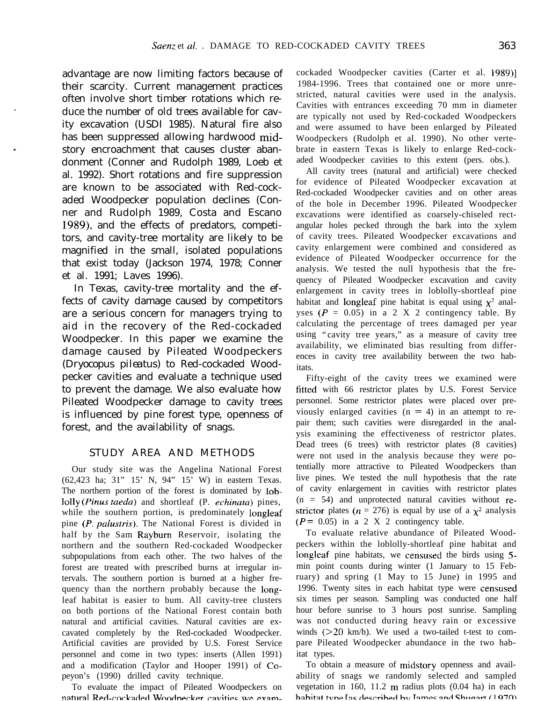advantage are now limiting factors because of their scarcity. Current management practices often involve short timber rotations which reduce the number of old trees available for cavity excavation (USDI 1985). Natural fire also has been suppressed allowing hardwood midstory encroachment that causes cluster abandonment (Conner and Rudolph 1989, Loeb et al. 1992). Short rotations and fire suppression are known to be associated with Red-cockaded Woodpecker population declines (Conner and Rudolph 1989, Costa and Escano 1989), and the effects of predators, competitors, and cavity-tree mortality are likely to be magnified in the small, isolated populations that exist today (Jackson 1974, 1978; Conner et al. 1991; Laves 1996).

In Texas, cavity-tree mortality and the effects of cavity damage caused by competitors are a serious concern for managers trying to aid in the recovery of the Red-cockaded Woodpecker. In this paper we examine the damage caused by Pileated Woodpeckers *(Dryocopus pileatus)* to Red-cockaded Woodpecker cavities and evaluate a technique used to prevent the damage. We also evaluate how Pileated Woodpecker damage to cavity trees is influenced by pine forest type, openness of forest, and the availability of snags.

#### STUDY AREA AND METHODS

Our study site was the Angelina National Forest (62,423 ha; 31" 15' N, 94" 15' W) in eastern Texas. The northern portion of the forest is dominated by lob-1011~ (Pinus taeda) and shortleaf (P. *echinata)* pines, while the southern portion, is predominately longleaf pine (P. palustris). The National Forest is divided in half by the Sam Rayburn Reservoir, isolating the northern and the southern Red-cockaded Woodpecker subpopulations from each other. The two halves of the forest are treated with prescribed burns at irregular intervals. The southern portion is burned at a higher frequency than the northern probably because the longleaf habitat is easier to bum. All cavity-tree clusters on both portions of the National Forest contain both natural and artificial cavities. Natural cavities are excavated completely by the Red-cockaded Woodpecker. Artificial cavities are provided by U.S. Forest Service personnel and come in two types: inserts (Allen 1991) and a modification (Taylor and Hooper 1991) of Copeyon's (1990) drilled cavity technique.

To evaluate the impact of Pileated Woodpeckers on natural Red-cockaded Woodnecker cavities we examcockaded Woodpecker cavities (Carter et al. 1989)] 1984-1996. Trees that contained one or more unrestricted, natural cavities were used in the analysis. Cavities with entrances exceeding 70 mm in diameter are typically not used by Red-cockaded Woodpeckers and were assumed to have been enlarged by Pileated Woodpeckers (Rudolph et al. 1990). No other vertebrate in eastern Texas is likely to enlarge Red-cockaded Woodpecker cavities to this extent (pers. obs.).

All cavity trees (natural and artificial) were checked for evidence of Pileated Woodpecker excavation at Red-cockaded Woodpecker cavities and on other areas of the bole in December 1996. Pileated Woodpecker excavations were identified as coarsely-chiseled rectangular holes pecked through the bark into the xylem of cavity trees. Pileated Woodpecker excavations and cavity enlargement were combined and considered as evidence of Pileated Woodpecker occurrence for the analysis. We tested the null hypothesis that the frequency of Pileated Woodpecker excavation and cavity enlargement in cavity trees in loblolly-shortleaf pine habitat and longleaf pine habitat is equal using  $\chi^2$  analyses  $(P = 0.05)$  in a 2 X 2 contingency table. By calculating the percentage of trees damaged per year using "cavity tree years," as a measure of cavity tree availability, we eliminated bias resulting from differences in cavity tree availability between the two habitats.

Fifty-eight of the cavity trees we examined were fitted with 66 restrictor plates by U.S. Forest Service personnel. Some restrictor plates were placed over previously enlarged cavities  $(n = 4)$  in an attempt to repair them; such cavities were disregarded in the analysis examining the effectiveness of restrictor plates. Dead trees (6 trees) with restrictor plates (8 cavities) were not used in the analysis because they were potentially more attractive to Pileated Woodpeckers than live pines. We tested the null hypothesis that the rate of cavity enlargement in cavities with restrictor plates  $(n = 54)$  and unprotected natural cavities without restrictor plates ( $n = 276$ ) is equal by use of a  $\chi^2$  analysis  $(P = 0.05)$  in a 2 X 2 contingency table.

To evaluate relative abundance of Pileated Woodpeckers within the loblolly-shortleaf pine habitat and longleaf pine habitats, we censused the birds using 5 min point counts during winter (1 January to 15 February) and spring (1 May to 15 June) in 1995 and 1996. Twenty sites in each habitat type were censused six times per season. Sampling was conducted one half hour before sunrise to 3 hours post sunrise. Sampling was not conducted during heavy rain or excessive winds  $(>=20 \text{ km/h})$ . We used a two-tailed t-test to compare Pileated Woodpecker abundance in the two habitat types.

To obtain a measure of midstory openness and availability of snags we randomly selected and sampled vegetation in 160, 11.2 m radius plots (0.04 ha) in each hahitat tyne las described hy Iames and Shugart (1970)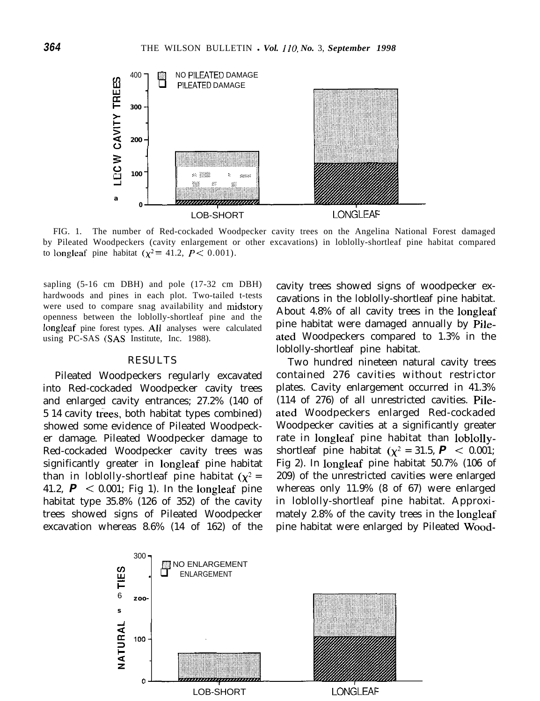

FIG. 1. The number of Red-cockaded Woodpecker cavity trees on the Angelina National Forest damaged by Pileated Woodpeckers (cavity enlargement or other excavations) in loblolly-shortleaf pine habitat compared to longleaf pine habitat ( $\chi^2$  = 41.2,  $P$  < 0.001).

sapling (5-16 cm DBH) and pole (17-32 cm DBH) hardwoods and pines in each plot. Two-tailed t-tests were used to compare snag availability and midstory openness between the loblolly-shortleaf pine and the longleaf pine forest types. All analyses were calculated using PC-SAS (SAS Institute, Inc. 1988).

#### RESULTS

Pileated Woodpeckers regularly excavated into Red-cockaded Woodpecker cavity trees and enlarged cavity entrances; 27.2% (140 of 5 14 cavity trees, both habitat types combined) showed some evidence of Pileated Woodpecker damage. Pileated Woodpecker damage to Red-cockaded Woodpecker cavity trees was significantly greater in longleaf pine habitat than in loblolly-shortleaf pine habitat  $(\chi^2 =$ 41.2, *P <* 0.001; Fig 1). In the longleaf pine habitat type 35.8% (126 of 352) of the cavity trees showed signs of Pileated Woodpecker excavation whereas 8.6% (14 of 162) of the cavity trees showed signs of woodpecker excavations in the loblolly-shortleaf pine habitat. About 4.8% of all cavity trees in the longleaf pine habitat were damaged annually by Pileated Woodpeckers compared to 1.3% in the loblolly-shortleaf pine habitat.

Two hundred nineteen natural cavity trees contained 276 cavities without restrictor plates. Cavity enlargement occurred in 41.3% (114 of 276) of all unrestricted cavities. Pileated Woodpeckers enlarged Red-cockaded Woodpecker cavities at a significantly greater rate in longleaf pine habitat than loblollyshortleaf pine habitat  $(\chi^2 = 31.5, P \le 0.001)$ ; Fig 2). In longleaf pine habitat 50.7% (106 of 209) of the unrestricted cavities were enlarged whereas only 11.9% (8 of 67) were enlarged in loblolly-shortleaf pine habitat. Approximately 2.8% of the cavity trees in the longleaf pine habitat were enlarged by Pileated Wood-

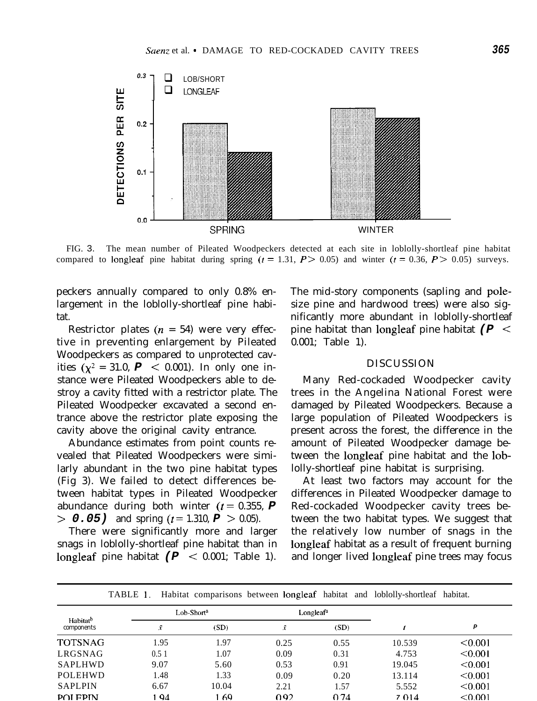

FIG. 3. The mean number of Pileated Woodpeckers detected at each site in loblolly-shortleaf pine habitat compared to longleaf pine habitat during spring  $(t = 1.31, P > 0.05)$  and winter  $(t = 0.36, P > 0.05)$  surveys.

peckers annually compared to only 0.8% enlargement in the loblolly-shortleaf pine habitat.

Restrictor plates ( $n = 54$ ) were very effective in preventing enlargement by Pileated Woodpeckers as compared to unprotected cavities ( $\chi^2 = 31.0$ ,  $P \le 0.001$ ). In only one instance were Pileated Woodpeckers able to destroy a cavity fitted with a restrictor plate. The Pileated Woodpecker excavated a second entrance above the restrictor plate exposing the cavity above the original cavity entrance.

Abundance estimates from point counts revealed that Pileated Woodpeckers were similarly abundant in the two pine habitat types (Fig 3). We failed to detect differences between habitat types in Pileated Woodpecker abundance during both winter  $(t = 0.355, P)$  $> 0.05$ ) and spring ( $t = 1.310$ ,  $P > 0.05$ ).

There were significantly more and larger snags in loblolly-shortleaf pine habitat than in longleaf pine habitat *(P <* 0.001; Table 1).

The mid-story components (sapling and polesize pine and hardwood trees) were also significantly more abundant in loblolly-shortleaf pine habitat than longleaf pine habitat *(P <* 0.001; Table 1).

## DISCUSSION

Many Red-cockaded Woodpecker cavity trees in the Angelina National Forest were damaged by Pileated Woodpeckers. Because a large population of Pileated Woodpeckers is present across the forest, the difference in the amount of Pileated Woodpecker damage between the longleaf pine habitat and the loblolly-shortleaf pine habitat is surprising.

At least two factors may account for the differences in Pileated Woodpecker damage to Red-cockaded Woodpecker cavity trees between the two habitat types. We suggest that the relatively low number of snags in the longleaf habitat as a result of frequent burning and longer lived longleaf pine trees may focus

|                                    |                        | $\sim$ |                       |      |        |         |
|------------------------------------|------------------------|--------|-----------------------|------|--------|---------|
| Habitat <sup>b</sup><br>components | Lob-Short <sup>a</sup> |        | Longleaf <sup>a</sup> |      |        |         |
|                                    |                        | (SD)   | Ÿ                     | (SD) |        | P       |
| <b>TOTSNAG</b>                     | 1.95                   | 1.97   | 0.25                  | 0.55 | 10.539 | < 0.001 |
| LRGSNAG                            | 0.51                   | 1.07   | 0.09                  | 0.31 | 4.753  | < 0.001 |
| SAPLHWD                            | 9.07                   | 5.60   | 0.53                  | 0.91 | 19.045 | < 0.001 |
| POLEHWD                            | 1.48                   | 1.33   | 0.09                  | 0.20 | 13.114 | < 0.001 |
| <b>SAPLPIN</b>                     | 6.67                   | 10.04  | 2.21                  | 1.57 | 5.552  | < 0.001 |
| <b>POLEPIN</b>                     | 194                    | 69     | 0.92                  | 0.74 | 7014   | < 0.001 |

TABLE 1, Habitat comparisons between longleaf habitat and loblolly-shortleaf habitat.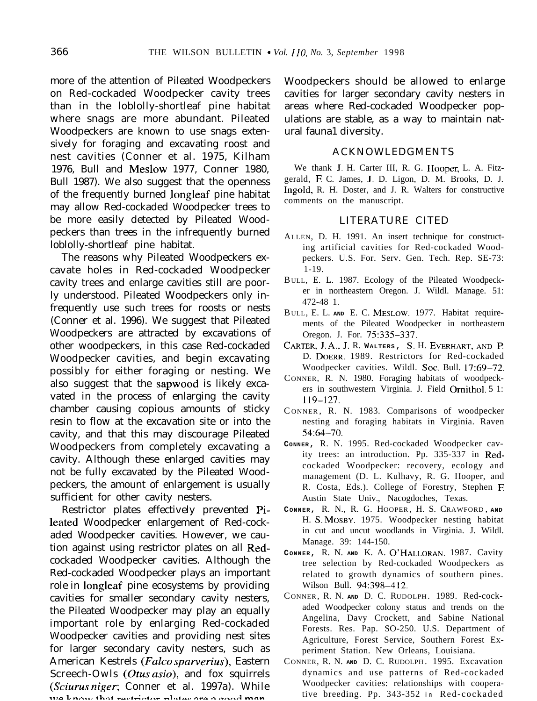more of the attention of Pileated Woodpeckers on Red-cockaded Woodpecker cavity trees than in the loblolly-shortleaf pine habitat where snags are more abundant. Pileated Woodpeckers are known to use snags extensively for foraging and excavating roost and nest cavities (Conner et al. 1975, Kilham 1976, Bull and Meslow 1977, Conner 1980, Bull 1987). We also suggest that the openness of the frequently burned longleaf pine habitat may allow Red-cockaded Woodpecker trees to be more easily detected by Pileated Woodpeckers than trees in the infrequently burned loblolly-shortleaf pine habitat.

The reasons why Pileated Woodpeckers excavate holes in Red-cockaded Woodpecker cavity trees and enlarge cavities still are poorly understood. Pileated Woodpeckers only infrequently use such trees for roosts or nests (Conner et al. 1996). We suggest that Pileated Woodpeckers are attracted by excavations of other woodpeckers, in this case Red-cockaded Woodpecker cavities, and begin excavating possibly for either foraging or nesting. We also suggest that the sapwood is likely excavated in the process of enlarging the cavity chamber causing copious amounts of sticky resin to flow at the excavation site or into the cavity, and that this may discourage Pileated Woodpeckers from completely excavating a cavity. Although these enlarged cavities may not be fully excavated by the Pileated Woodpeckers, the amount of enlargement is usually sufficient for other cavity nesters.

Restrictor plates effectively prevented Pileated Woodpecker enlargement of Red-cockaded Woodpecker cavities. However, we caution against using restrictor plates on all Redcockaded Woodpecker cavities. Although the Red-cockaded Woodpecker plays an important role in longleaf pine ecosystems by providing cavities for smaller secondary cavity nesters, the Pileated Woodpecker may play an equally important role by enlarging Red-cockaded Woodpecker cavities and providing nest sites for larger secondary cavity nesters, such as American Kestrels (Falco sparverius), Eastern Screech-Owls (Otus asio), and fox squirrels (Sciurus niger; Conner et al. 1997a). While we know that restrictor plates are a good man

Woodpeckers should be allowed to enlarge cavities for larger secondary cavity nesters in areas where Red-cockaded Woodpecker populations are stable, as a way to maintain natural fauna1 diversity.

#### ACKNOWLEDGMENTS

We thank J. H. Carter III, R. G. Hooper, L. A. Fitzgerald, E C. James, J. D. Ligon, D. M. Brooks, D. J. Ingold, R. H. Doster, and J. R. Walters for constructive comments on the manuscript.

### LITERATURE CITED

- ALLEN, D. H. 1991. An insert technique for constructing artificial cavities for Red-cockaded Woodpeckers. U.S. For. Serv. Gen. Tech. Rep. SE-73: 1-19.
- BULL, E. L. 1987. Ecology of the Pileated Woodpecker in northeastern Oregon. J. Wildl. Manage. 51: 472-48 1.
- BULL, E. L. **AND** E. C. MESLOW. 1977. Habitat requirements of the Pileated Woodpecker in northeastern Oregon. J. For. 75:335-337.
- CARTER,J. A.,J. R. **WALTERS ,** *S.* H. **EVERHART,AND I?** D. DOERR. 1989. Restrictors for Red-cockaded Woodpecker cavities. Wildl. Soc. Bull. 17:69-72.
- CONNER, R. N. 1980. Foraging habitats of woodpeckers in southwestern Virginia. J. Field Omithol. 5 1: 119-127.
- C ONNER , R. N. 1983. Comparisons of woodpecker nesting and foraging habitats in Virginia. Raven 54:64-70.
- **CONNER,** R. N. 1995. Red-cockaded Woodpecker cavity trees: an introduction. Pp. 335-337 in Redcockaded Woodpecker: recovery, ecology and management (D. L. Kulhavy, R. G. Hooper, and R. Costa, Eds.). College of Forestry, Stephen E Austin State Univ., Nacogdoches, Texas.
- **CONNER,** R. N., R. G. HOOPER , H. S. CRAWFORD , **AND** H. S. MOSBY. 1975. Woodpecker nesting habitat in cut and uncut woodlands in Virginia. J. Wildl. Manage. 39: 144-150.
- **CONNER,** R. N. **AND** K. A. O'HALLORAN. 1987. Cavity tree selection by Red-cockaded Woodpeckers as related to growth dynamics of southern pines. Wilson Bull. 94:398-412.
- CONNER, R. N. **AND** D. C. RUDOLPH . 1989. Red-cockaded Woodpecker colony status and trends on the Angelina, Davy Crockett, and Sabine National Forests. Res. Pap. SO-250. U.S. Department of Agriculture, Forest Service, Southern Forest Experiment Station. New Orleans, Louisiana.
- CONNER, R. N. **AND** D. C. RUDOLPH . 1995. Excavation dynamics and use patterns of Red-cockaded Woodpecker cavities: relationships with cooperative breeding. Pp. 343-352 *in* Red-cockaded